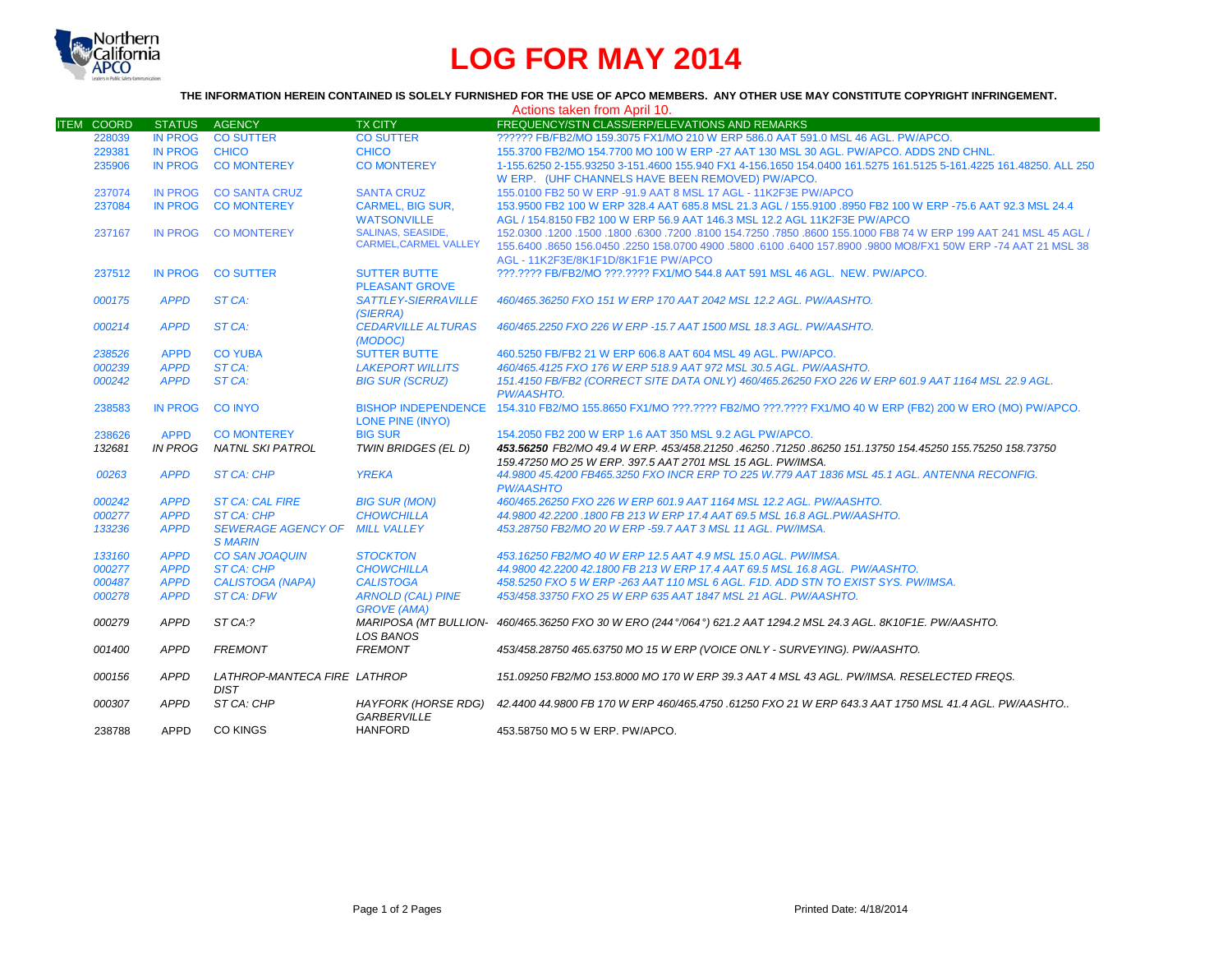

# **LOG FOR MAY 2014**

# **THE INFORMATION HEREIN CONTAINED IS SOLELY FURNISHED FOR THE USE OF APCO MEMBERS. ANY OTHER USE MAY CONSTITUTE COPYRIGHT INFRINGEMENT.**

|                   |                |                              |                              | Actions taken from April 10.                                                                                              |
|-------------------|----------------|------------------------------|------------------------------|---------------------------------------------------------------------------------------------------------------------------|
| <b>ITEM COORD</b> | <b>STATUS</b>  | <b>AGENCY</b>                | <b>TX CITY</b>               | FREQUENCY/STN CLASS/ERP/ELEVATIONS AND REMARKS                                                                            |
| 228039            | <b>IN PROG</b> | <b>CO SUTTER</b>             | <b>CO SUTTER</b>             | ?????? FB/FB2/MO 159.3075 FX1/MO 210 W ERP 586.0 AAT 591.0 MSL 46 AGL, PW/APCO.                                           |
| 229381            | <b>IN PROG</b> | <b>CHICO</b>                 | <b>CHICO</b>                 | 155.3700 FB2/MO 154.7700 MO 100 W ERP -27 AAT 130 MSL 30 AGL. PW/APCO, ADDS 2ND CHNL.                                     |
| 235906            | <b>IN PROG</b> | <b>CO MONTEREY</b>           | <b>CO MONTEREY</b>           | 1-155.6250 2-155.93250 3-151.4600 155.940 FX1 4-156.1650 154.0400 161.5275 161.5125 5-161.4225 161.48250. ALL 250         |
|                   |                |                              |                              | W ERP. (UHF CHANNELS HAVE BEEN REMOVED) PW/APCO.                                                                          |
| 237074            | IN PROG        | <b>CO SANTA CRUZ</b>         | <b>SANTA CRUZ</b>            | 155,0100 FB2 50 W ERP -91.9 AAT 8 MSL 17 AGL - 11K2F3E PW/APCO                                                            |
| 237084            | <b>IN PROG</b> | <b>CO MONTEREY</b>           | <b>CARMEL, BIG SUR,</b>      | 153.9500 FB2 100 W ERP 328.4 AAT 685.8 MSL 21.3 AGL / 155.9100 .8950 FB2 100 W ERP -75.6 AAT 92.3 MSL 24.4                |
|                   |                |                              | <b>WATSONVILLE</b>           | AGL / 154.8150 FB2 100 W ERP 56.9 AAT 146.3 MSL 12.2 AGL 11K2F3E PW/APCO                                                  |
| 237167            | IN PROG        | <b>CO MONTEREY</b>           | <b>SALINAS, SEASIDE,</b>     | 150. 45 AGL (150.0300 .1200 .1500 .6300 .7200 .8100 154.7250 .7850 .8600 155.1000 FB8 74 W ERP 199 AAT 241 MSL            |
|                   |                |                              | <b>CARMEL, CARMEL VALLEY</b> | 155.6400 .8650 156.0450 .2250 158.0700 4900 .5800 .6100 .6400 157.8900 .9800 MO8/FX1 50W ERP -74 AAT 21 MSL 38            |
|                   |                |                              |                              | AGL - 11K2F3E/8K1F1D/8K1F1E PW/APCO                                                                                       |
| 237512            | IN PROG        | <b>CO SUTTER</b>             | <b>SUTTER BUTTE</b>          | ???.???? FB/FB2/MO ???.???? FX1/MO 544.8 AAT 591 MSL 46 AGL. NEW. PW/APCO.                                                |
|                   |                |                              | <b>PLEASANT GROVE</b>        |                                                                                                                           |
| 000175            | <b>APPD</b>    | ST CA:                       | SATTLEY-SIERRAVILLE          | 460/465.36250 FXO 151 W ERP 170 AAT 2042 MSL 12.2 AGL. PW/AASHTO.                                                         |
|                   |                |                              | (SIERRA)                     |                                                                                                                           |
| 000214            | <b>APPD</b>    | ST CA:                       | <b>CEDARVILLE ALTURAS</b>    | 460/465.2250 FXO 226 W ERP -15.7 AAT 1500 MSL 18.3 AGL, PW/AASHTO.                                                        |
|                   |                |                              | (MODOC)                      |                                                                                                                           |
| 238526            | <b>APPD</b>    | <b>CO YUBA</b>               | <b>SUTTER BUTTE</b>          | 460.5250 FB/FB2 21 W ERP 606.8 AAT 604 MSL 49 AGL, PW/APCO.                                                               |
| 000239            | <b>APPD</b>    | ST CA:                       | <b>LAKEPORT WILLITS</b>      | 460/465.4125 FXO 176 W ERP 518.9 AAT 972 MSL 30.5 AGL. PW/AASHTO.                                                         |
| 000242            | <b>APPD</b>    | ST CA:                       | <b>BIG SUR (SCRUZ)</b>       | 151.4150 FB/FB2 (CORRECT SITE DATA ONLY) 460/465.26250 FXO 226 W ERP 601.9 AAT 1164 MSL 22.9 AGL.                         |
|                   |                |                              |                              | PW/AASHTO.                                                                                                                |
| 238583            | IN PROG        | <b>CO INYO</b>               |                              | BISHOP INDEPENDENCE 154.310 FB2/MO 155.8650 FX1/MO ???.???? FB2/MO ???.???? FX1/MO 40 W ERP (FB2) 200 W ERO (MO) PW/APCO. |
|                   |                |                              | LONE PINE (INYO)             |                                                                                                                           |
| 238626            | <b>APPD</b>    | <b>CO MONTEREY</b>           | <b>BIG SUR</b>               | 154, 2050 FB2 200 W ERP 1.6 AAT 350 MSL 9.2 AGL PW/APCO.                                                                  |
| 132681            | IN PROG        | NATNL SKI PATROL             | TWIN BRIDGES (EL D)          | 453.56250 FB2/MO 49.4 W ERP. 453/458.21250 .46250 .71250 .86250 151.13750 154.45250 155.75250 158.73750                   |
|                   |                |                              |                              | 159.47250 MO 25 W ERP. 397.5 AAT 2701 MSL 15 AGL. PW/IMSA.                                                                |
| 00263             | <b>APPD</b>    | ST CA: CHP                   | <b>YREKA</b>                 | 44.9800 45.4200 FB465.3250 FXO INCR ERP TO 225 W.779 AAT 1836 MSL 45.1 AGL. ANTENNA RECONFIG.                             |
|                   |                |                              |                              | <b>PW/AASHTO</b>                                                                                                          |
| 000242            | <b>APPD</b>    | <b>ST CA: CAL FIRE</b>       | <b>BIG SUR (MON)</b>         | 460/465.26250 FXO 226 W ERP 601.9 AAT 1164 MSL 12.2 AGL, PW/AASHTO.                                                       |
| 000277            | <b>APPD</b>    | <b>ST CA: CHP</b>            | <b>CHOWCHILLA</b>            | 44,9800 42,2200 .1800 FB 213 W ERP 17.4 AAT 69.5 MSL 16.8 AGL.PW/AASHTO.                                                  |
| 133236            | <b>APPD</b>    | <b>SEWERAGE AGENCY OF</b>    | <b>MILL VALLEY</b>           | 453.28750 FB2/MO 20 W ERP -59.7 AAT 3 MSL 11 AGL. PW/IMSA.                                                                |
|                   |                | <b>SMARIN</b>                |                              |                                                                                                                           |
| 133160            | <b>APPD</b>    | <b>CO SAN JOAQUIN</b>        | <b>STOCKTON</b>              | 453.16250 FB2/MO 40 W ERP 12.5 AAT 4.9 MSL 15.0 AGL. PW/IMSA.                                                             |
| 000277            | <b>APPD</b>    | <b>ST CA: CHP</b>            | <b>CHOWCHILLA</b>            | 44.9800 42.2200 42.1800 FB 213 W ERP 17.4 AAT 69.5 MSL 16.8 AGL. PW/AASHTO.                                               |
| 000487            | <b>APPD</b>    | <b>CALISTOGA (NAPA)</b>      | <b>CALISTOGA</b>             | 458,5250 FXO 5 W ERP -263 AAT 110 MSL 6 AGL, F1D, ADD STN TO EXIST SYS, PW/IMSA,                                          |
| 000278            | <b>APPD</b>    | <b>ST CA: DFW</b>            | <b>ARNOLD (CAL) PINE</b>     | 453/458.33750 FXO 25 W ERP 635 AAT 1847 MSL 21 AGL, PW/AASHTO.                                                            |
|                   |                |                              | <b>GROVE (AMA)</b>           |                                                                                                                           |
| 000279            | <b>APPD</b>    | ST CA:?                      |                              | MARIPOSA (MT BULLION- 460/465.36250 FXO 30 W ERO (244°/064°) 621.2 AAT 1294.2 MSL 24.3 AGL. 8K10F1E. PW/AASHTO.           |
|                   |                |                              | <b>LOS BANOS</b>             |                                                                                                                           |
| 001400            | <b>APPD</b>    | <b>FREMONT</b>               | <b>FREMONT</b>               | 453/458.28750 465.63750 MO 15 W ERP (VOICE ONLY - SURVEYING). PW/AASHTO.                                                  |
| 000156            | <b>APPD</b>    | LATHROP-MANTECA FIRE LATHROP |                              | 151.09250 FB2/MO 153.8000 MO 170 W ERP 39.3 AAT 4 MSL 43 AGL. PW/IMSA, RESELECTED FREQS.                                  |
|                   |                | <b>DIST</b>                  |                              |                                                                                                                           |
| 000307            | <b>APPD</b>    | ST CA: CHP                   | HAYFORK (HORSE RDG)          | 42.4400 44.9800 FB 170 W ERP 460/465.4750 .61250 FXO 21 W ERP 643.3 AAT 1750 MSL 41.4 AGL. PW/AASHTO                      |
|                   |                |                              | <b>GARBERVILLE</b>           |                                                                                                                           |
| 238788            | <b>APPD</b>    | <b>CO KINGS</b>              | <b>HANFORD</b>               | 453.58750 MO 5 W ERP. PW/APCO.                                                                                            |